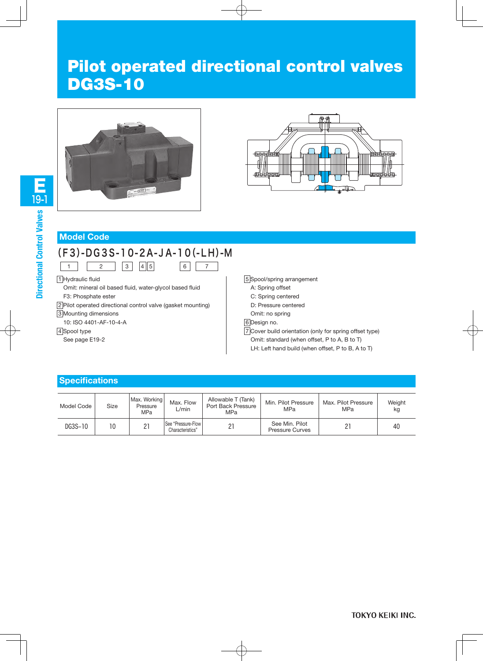# DG3S-10





#### **Model Code**

### (F3)-DG3S-10-2A-JA-10(-LH)-M

6 7

 $\begin{array}{|c|c|c|c|c|c|}\n\hline\n1 & 2 & 3 & 4 & 5\n\end{array}$ 

1 Hydraulic fluid

Omit: mineral oil based fluid, water-glycol based fluid F3: Phosphate ester

2 Pilot operated directional control valve (gasket mounting)

3 Mounting dimensions

10: ISO 4401-AF-10-4-A

4 Spool type

See page E19-2

5 Spool/spring arrangement

- A: Spring offset
- C: Spring centered
- D: Pressure centered
- Omit: no spring
- 6 Design no.

7 Cover build orientation (only for spring offset type) Omit: standard (when offset, P to A, B to T)

LH: Left hand build (when offset, P to B, A to T)

#### **Specifications**

| Model Code | Size | Max. Working<br>Pressure<br>MPa | Max. Flow<br>$\mathcal{L}$ min         | Allowable T (Tank)<br>Port Back Pressure<br>MPa | Min. Pilot Pressure<br><b>MPa</b>        | Max. Pilot Pressure<br>MPa | Weight<br>kg |
|------------|------|---------------------------------|----------------------------------------|-------------------------------------------------|------------------------------------------|----------------------------|--------------|
| DG3S-10    | 10   | 21                              | See "Pressure-Flow<br>Characteristics" | 21                                              | See Min. Pilot<br><b>Pressure Curves</b> | 21                         | 40           |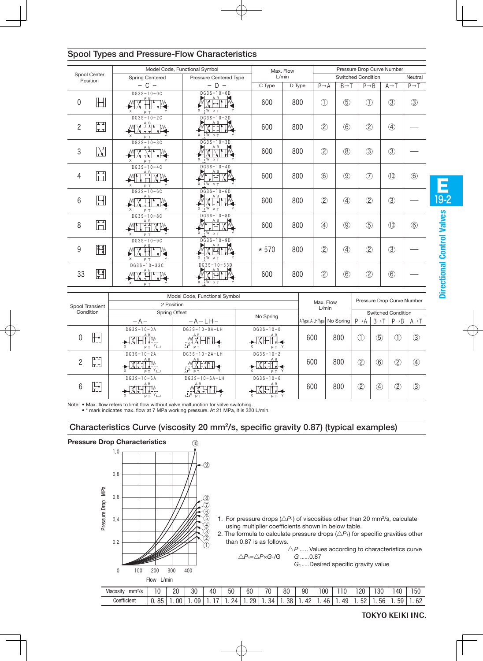|                |                           | Model Code, Functional Symbol                              |                                                    |        | Max. Flow |                    | Pressure Drop Curve Number |                   |                   |                   |  |
|----------------|---------------------------|------------------------------------------------------------|----------------------------------------------------|--------|-----------|--------------------|----------------------------|-------------------|-------------------|-------------------|--|
|                | Spool Center<br>Position  | <b>Spring Centered</b><br>Pressure Centered Type           |                                                    | L/min  |           | Switched Condition |                            |                   |                   | Neutral           |  |
|                |                           | $- C -$                                                    | $- D -$                                            | C Type | D Type    | $P \rightarrow A$  | $B \rightarrow T$          | $P \rightarrow B$ | $A \rightarrow T$ | $P \rightarrow T$ |  |
| $\mathbf 0$    | $\Box$                    | $DG3S-10-OC$<br>जाैैी।<br>X<br>P T                         | $DG3S-10-0D$<br>XHIIM<br>$X$ , $W$ $p$ $T$         | 600    | 800       | $\circled{1}$      | $\circledS$                | $\circled{1}$     | $\circled{3}$     | $\circled{3}$     |  |
| $\overline{2}$ | 다<br>لتحا                 | $DG3S-10-2C$<br><del>Q</del> ∆ ∄⊺∎<br>X<br>P T             | $DG3S-10-2D$<br>X <sup>A B</sup> ITM<br>X W P T    | 600    | 800       | $\circled{2}$      | $\circled{6}$              | $\circled{2}$     | $\circled{4}$     |                   |  |
| 3              | $\sum_{\tau}$             | $DG3S-10-3C$<br>A B<br><b>NTITA</b><br>X<br>P T            | $DG3S-10-3D$<br>XÊTIM<br>$X \cdot W$ $P$ $T$       | 600    | 800       | $\circled{2}$      | $\circledR$                | $\circled{3}$     | $\circled{3}$     |                   |  |
| 4              | Ħ                         | $DG3S-10-4C$<br>$\frac{A}{\sqrt{\frac{1}{n}}}$<br>X<br>P T | $DG3S-10-4D$<br><b>SHIFFIX M</b><br>$X \cup W P T$ | 600    | 800       | $\circledast$      | $\circledS$                | $\circled{7}$     | $\circledR$       | $\circled6$       |  |
| 6              | $\mathbb{H}$              | $DG3S-10-6C$<br>A B<br>X<br>P T                            | $DG3S-10-6D$<br>XĤI<br>ŢŴ<br>$X \cup W P T$        | 600    | 800       | $\circled{2}$      | $\circled{4}$              | $\circled{2}$     | $\circled{3}$     |                   |  |
| 8              | 睛                         | $\overline{DG3S-10-8C}$<br>음<br>X<br>P T                   | $DG3S-10-8D$<br><b>THAM</b><br>X U P T             | 600    | 800       | $\circled{4}$      | $\circled{9}$              | $\circledS$       | $\circledR$       | $\circled6$       |  |
| 9              | $\frac{1}{k}$             | $DG3S-10-9C$<br>A B<br>义将什<br>$\times$<br>P T              | $DG3S-10-9D$<br><b>XHIIN</b><br>$X \cup W P T$     | $*570$ | 800       | $\circled{2}$      | $\circled{4}$              | $\circled{2}$     | $\circled{3}$     |                   |  |
| 33             | $\mathbb{F}^{\mathbb{Z}}$ | $DG3S - 10 - 33C$<br>ΑВ<br>$\times$<br>P T                 | $DG3S-10-33D$<br>$X$ <sub>1</sub> W $P$ T          | 600    | 800       | $\circled{2}$      | $\circledast$              | $\circled{2}$     | $\circledcirc$    |                   |  |

#### Spool Types and Pressure-Flow Characteristics

|                   | Model Code, Functional Symbol                                                                                                                                                                                                                                                                                                                                                             |                                                                                                                                                                                                                |                                                                                                                                                                                                                                                                                                                                                                                                                                                                                                                                            |                             | Max. Flow<br>L/min |                              |                            |                          |                   |
|-------------------|-------------------------------------------------------------------------------------------------------------------------------------------------------------------------------------------------------------------------------------------------------------------------------------------------------------------------------------------------------------------------------------------|----------------------------------------------------------------------------------------------------------------------------------------------------------------------------------------------------------------|--------------------------------------------------------------------------------------------------------------------------------------------------------------------------------------------------------------------------------------------------------------------------------------------------------------------------------------------------------------------------------------------------------------------------------------------------------------------------------------------------------------------------------------------|-----------------------------|--------------------|------------------------------|----------------------------|--------------------------|-------------------|
| Spool Transient   | 2 Position                                                                                                                                                                                                                                                                                                                                                                                |                                                                                                                                                                                                                |                                                                                                                                                                                                                                                                                                                                                                                                                                                                                                                                            |                             |                    |                              | Pressure Drop Curve Number |                          |                   |
| Condition         |                                                                                                                                                                                                                                                                                                                                                                                           | Spring Offset                                                                                                                                                                                                  | No Spring                                                                                                                                                                                                                                                                                                                                                                                                                                                                                                                                  |                             |                    | <b>Switched Condition</b>    |                            |                          |                   |
|                   | $-A-$                                                                                                                                                                                                                                                                                                                                                                                     | $-A-LH-$                                                                                                                                                                                                       |                                                                                                                                                                                                                                                                                                                                                                                                                                                                                                                                            | A Type, A-LH Type No Spring |                    | $P \rightarrow A$            | $B \rightarrow T$          | $P \rightarrow B$        | $A \rightarrow I$ |
| H                 | $DG3S-10-0A$<br>A B<br>ᅟᇚᅮᅡᇿ                                                                                                                                                                                                                                                                                                                                                              | $DG3S-10-0A-LH$<br>$\mathbb{\hat{X}}$ HII.<br>ێٙ<br>PT                                                                                                                                                         | $DG3S-10-0$<br>$\frac{AB}{4}$<br>-XI <del>I 1</del><br>PT <sup>Y</sup>                                                                                                                                                                                                                                                                                                                                                                                                                                                                     | 600                         | 800                |                              | $\circledS$                | Η.                       | $\circled{3}$     |
| ת־בח<br>C<br>lırl | $DG3S-10-2A$<br>$\begin{picture}(180,175) \put(0,0){\line(1,0){10}} \put(10,0){\line(1,0){10}} \put(10,0){\line(1,0){10}} \put(10,0){\line(1,0){10}} \put(10,0){\line(1,0){10}} \put(10,0){\line(1,0){10}} \put(10,0){\line(1,0){10}} \put(10,0){\line(1,0){10}} \put(10,0){\line(1,0){10}} \put(10,0){\line(1,0){10}} \put(10,0){\line(1,0){10}} \put(10,0){\line$<br>l/N It til<br>ᅟᆰᅐᅛ | $DG3S-10-2A-LH$<br>$\begin{array}{c}\mathbb{M}^{\mathbb{A}\mathbb{B}}_{\mathbb{A}\mathbb{F}_1\mathbb{F}_1} \\ \sqrt{\mathbb{X}}\mathbb{K}^{\mathbb{B}\mathbb{F}_1\mathbb{F}_1\mathbb{F}_1} \end{array}$<br>PT. | $DG3S-10-2$<br>$\leftarrow \mathbb{X}^{\mathbb{P} \text{-}\hat{\mathbb{P}} \text{-}\hat{\mathbb{P}} \text{-}\hat{\mathbb{P}} \text{-}\hat{\mathbb{P}} \text{-}\hat{\mathbb{P}} \text{-}\hat{\mathbb{P}} \text{-}\hat{\mathbb{P}} \text{-}\hat{\mathbb{P}} \text{-}\hat{\mathbb{P}} \text{-}\hat{\mathbb{P}} \text{-}\hat{\mathbb{P}} \text{-}\hat{\mathbb{P}} \text{-}\hat{\mathbb{P}} \text{-}\hat{\mathbb{P}} \text{-}\hat{\mathbb{P}} \text{-}\hat{\mathbb{P}} \text{-}\hat{\mathbb{P}} \text{-}\hat{\mathbb{P}} \text{-}\hat{\$<br>PT. | 600                         | 800                | 2                            | 6                          | Q                        | $\circled{4}$     |
| H<br>6            | $DG3S-10-6A$<br>A <sub>B</sub><br>YL<br>PT.                                                                                                                                                                                                                                                                                                                                               | $DG3S-10-6A-LH$<br>A <sub>B</sub><br>KETIN <del>4</del><br>X أن                                                                                                                                                | $DG3S-10-6$<br>XH<br>PT.                                                                                                                                                                                                                                                                                                                                                                                                                                                                                                                   | 600                         | 800                | $\overline{\textcircled{2}}$ | 4                          | $\overline{\mathcal{Z}}$ | $\circled{3}$     |

Note: • Max. flow refers to limit flow without valve malf Note: • Max. flow refers to limit flow without valve malfunction for valve switching.

icates max. flow at 7 MPa working pressure. At 21  $\,$ • \* mark indicates max. flow at 7 MPa working pressure. At 21 MPa, it is 3 • \* mark indicates max. flow at 7 MPa working pressure. At 21 MPa, it is 320 L/min.

#### Characteristics Curve (viscosity 20 mm2/s, specific gravity 0.87) (typical examples)



E 19-2

**TOKYO KEIKI INC.**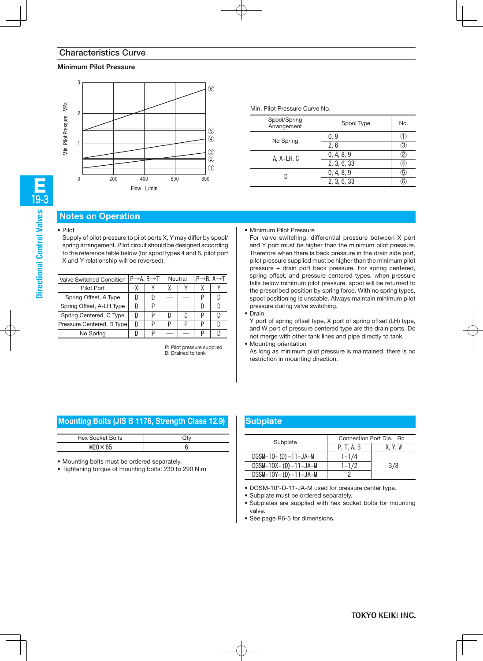#### **Minimum Pilot Pressure**



| Min. Pilot Pressure Curve No. |             |                   |  |  |  |  |
|-------------------------------|-------------|-------------------|--|--|--|--|
| Spool/Spring<br>Arrangement   | Spool Type  | No.               |  |  |  |  |
|                               | 0, 9        |                   |  |  |  |  |
| No Spring                     | 2, 6        | 3                 |  |  |  |  |
| A. A-LH. C                    | 0, 4, 8, 9  | 2                 |  |  |  |  |
|                               | 2, 3, 6, 33 | $\left( 4\right)$ |  |  |  |  |
|                               | 0, 4, 8, 9  | 5                 |  |  |  |  |
|                               | 2, 3, 6, 33 | 6                 |  |  |  |  |

#### **Notes on Operation**

Supply of pilot pressure to pilot ports X, Y may differ by spool/ spring arrangement. Pilot circuit should be designed according to the reference table below (for spool types 4 and 8, pilot port X and Y relationship will be reversed).

|                         |                                                                                   |                                       | Neutral |   | $P \rightarrow B$ . A $\rightarrow T$ |  |
|-------------------------|-----------------------------------------------------------------------------------|---------------------------------------|---------|---|---------------------------------------|--|
|                         |                                                                                   |                                       |         |   |                                       |  |
|                         |                                                                                   |                                       |         |   |                                       |  |
|                         | P                                                                                 |                                       |         |   |                                       |  |
|                         | D                                                                                 |                                       |         | D |                                       |  |
| D                       | D                                                                                 |                                       | D       | D |                                       |  |
|                         | D                                                                                 |                                       |         |   |                                       |  |
| Spring Centered, C Type | Valve Switched Condition<br>Spring Offset, A-LH Type<br>Pressure Centered, D Type | $P \rightarrow A$ . B $\rightarrow T$ |         |   |                                       |  |

P: Pilot pressure supplied D: Drained to tank

#### • Minimum Pilot Pressure

For valve switching, differential pressure between X port and Y port must be higher than the minimum pilot pressure. Therefore when there is back pressure in the drain side port, pilot pressure supplied must be higher than the minimum pilot pressure + drain port back pressure. For spring centered, spring offset, and pressure centered types, when pressure falls below minimum pilot pressure, spool will be returned to the prescribed position by spring force. With no spring types, spool positioning is unstable. Always maintain minimum pilot pressure during valve switching.

• Drain

Y port of spring offset type, X port of spring offset (LH) type, and W port of pressure centered type are the drain ports. Do not merge with other tank lines and pipe directly to tank.

• Mounting orientation

As long as minimum pilot pressure is maintained, there is no restriction in mounting direction.

#### **Mounting Bolts (JIS B 1176, Strength Class 12.9)**

| <b>Hex Socket Bolts</b> |  |
|-------------------------|--|
| $M20 \times 65$         |  |

• Mounting bolts must be ordered separately.

• Tightening torque of mounting bolts: 230 to 290 N·m

#### **Subplate**

| Subplate                   | Connection Port Dia. Rc |         |  |  |  |
|----------------------------|-------------------------|---------|--|--|--|
|                            | P. T. A. B              | X, Y, W |  |  |  |
| $DGSM-10-(D) -11-JA-M$     | $1 - 1/4$               |         |  |  |  |
| $DGSM-10X-$ (D) $-11-JA-M$ | $1 - 1/2$               | 3/8     |  |  |  |
| $DGSM-10Y-(D) -11-JA-M$    |                         |         |  |  |  |

• DGSM-10\*-D-11-JA-M used for pressure center type.

• Subplate must be ordered separately.

• Subplates are supplied with hex socket bolts for mounting valve.

• See page R6-5 for dimensions.

## • Pilot

**Directional Control Valves**

19-3 E